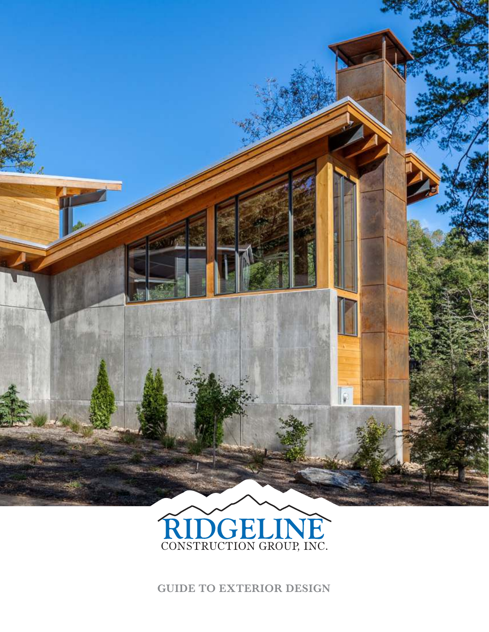



**GUIDE TO EXTERIOR DESIGN**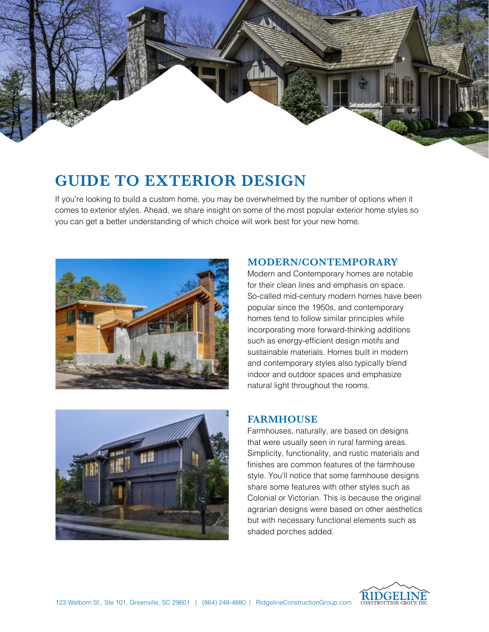

# **GUIDE TO EXTERIOR DESIGN**

If you're looking to build a custom home, you may be overwhelmed by the number of options when it comes to exterior styles. Ahead, we share insight on some of the most popular exterior home styles so you can get a better understanding of which choice will work best for your new home.





## **MODERN/CONTEMPORARY**

Modern and Contemporary homes are notable for their clean lines and emphasis on space. So-called mid-century modern homes have been popular since the 1950s, and contemporary homes tend to follow similar principles while incorporating more forward-thinking additions such as energy-efficient design motifs and sustainable materials. Homes built in modern and contemporary styles also typically blend indoor and outdoor spaces and emphasize natural light throughout the rooms.

## **FARMHOUSE**

Farmhouses, naturally, are based on designs that were usually seen in rural farming areas. Simplicity, functionality, and rustic materials and finishes are common features of the farmhouse style. You'll notice that some farmhouse designs share some features with other styles such as Colonial or Victorian. This is because the original agrarian designs were based on other aesthetics but with necessary functional elements such as shaded porches added.

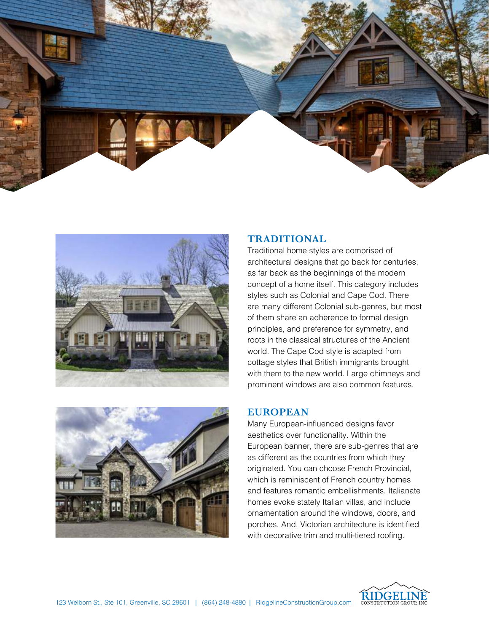





### **TRADITIONAL**

Traditional home styles are comprised of architectural designs that go back for centuries, as far back as the beginnings of the modern concept of a home itself. This category includes styles such as Colonial and Cape Cod. There are many different Colonial sub-genres, but most of them share an adherence to formal design principles, and preference for symmetry, and roots in the classical structures of the Ancient world. The Cape Cod style is adapted from cottage styles that British immigrants brought with them to the new world. Large chimneys and prominent windows are also common features.

## **EUROPEAN**

Many European-influenced designs favor aesthetics over functionality. Within the European banner, there are sub-genres that are as different as the countries from which they originated. You can choose French Provincial, which is reminiscent of French country homes and features romantic embellishments. Italianate homes evoke stately Italian villas, and include ornamentation around the windows, doors, and porches. And, Victorian architecture is identified with decorative trim and multi-tiered roofing.